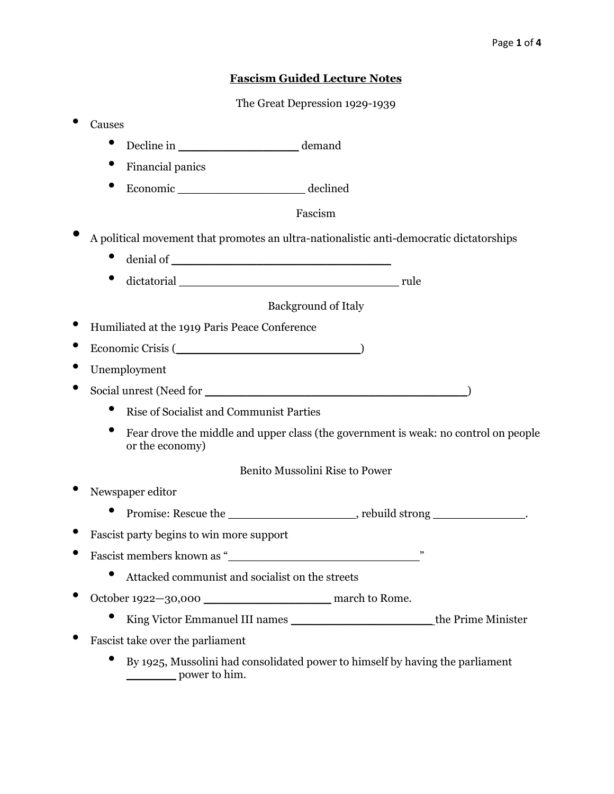## **Fascism Guided Lecture Notes**

The Great Depression 1929-1939

- Causes • Decline in  $\qquad \qquad$  demand • Financial panics • Economic \_\_\_\_\_\_\_\_\_\_\_\_\_\_\_\_\_\_ declined Fascism • A political movement that promotes an ultra-nationalistic anti-democratic dictatorships  $\bullet$  denial of  $\Box$  $\bullet$  dictatorial  $\bullet$  rule Background of Italy • Humiliated at the 1919 Paris Peace Conference • Economic Crisis (\_\_\_\_\_\_\_\_\_\_\_\_\_\_\_\_\_\_\_\_\_\_\_\_\_\_) • Unemployment • Social unrest (Need for \_\_\_\_\_\_\_\_\_\_\_\_\_\_\_\_\_\_\_\_\_\_\_\_\_\_\_\_\_\_\_\_\_\_\_\_\_) • Rise of Socialist and Communist Parties • Fear drove the middle and upper class (the government is weak: no control on people or the economy) Benito Mussolini Rise to Power • Newspaper editor • Promise: Rescue the strong and reduced by rebuild strong and reduced by reduced and reduced  $\sim$ • Fascist party begins to win more support Fascist members known as " • Attacked communist and socialist on the streets • October 1922—30,000 \_\_\_\_\_\_\_\_\_\_\_\_\_\_\_\_\_\_ march to Rome. • King Victor Emmanuel III names \_\_\_\_\_\_\_\_\_\_\_\_\_\_\_\_\_\_\_\_ the Prime Minister • Fascist take over the parliament • By 1925, Mussolini had consolidated power to himself by having the parliament
	- \_\_\_\_\_\_\_ power to him.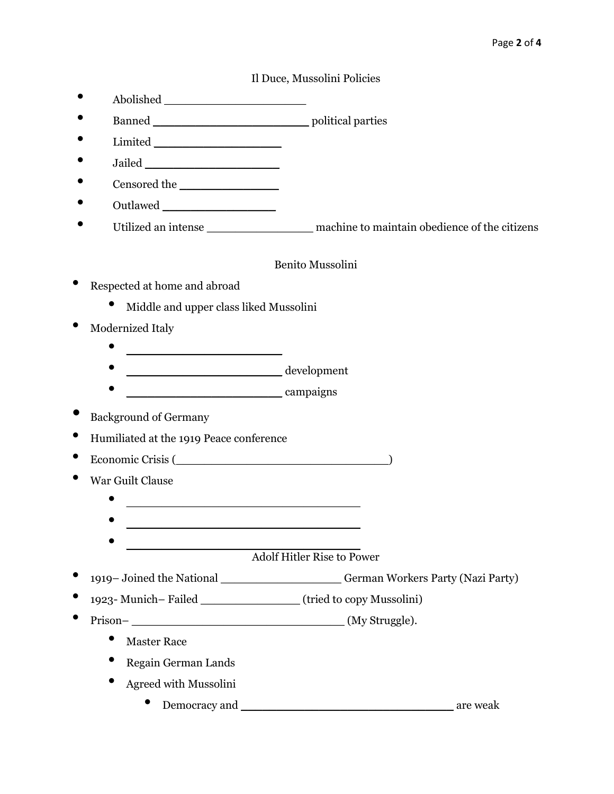## Il Duce, Mussolini Policies

- Abolished \_\_\_\_\_\_\_\_\_\_\_\_\_\_\_\_\_\_\_\_
- Banned by a political parties by  $\sim$
- Limited  $\blacksquare$
- Jailed \_\_\_\_\_\_\_\_\_\_\_\_\_\_\_\_\_\_\_
- Censored the \_\_\_\_\_\_\_\_\_\_\_\_\_\_
- Outlawed \_\_\_\_\_\_\_\_\_\_\_\_\_\_\_\_
- Utilized an intense **machine** to maintain obedience of the citizens

#### Benito Mussolini

- Respected at home and abroad
	- Middle and upper class liked Mussolini
- Modernized Italy
	- \_\_\_\_\_\_\_\_\_\_\_\_\_\_\_\_\_\_\_\_\_\_
	- \_\_\_\_\_\_\_\_\_\_\_\_\_\_\_\_\_\_\_\_\_\_ development
	- \_\_\_\_\_\_\_\_\_\_\_\_\_\_\_\_\_\_\_\_\_\_ campaigns
- Background of Germany
- Humiliated at the 1919 Peace conference
- Economic Crisis (\_\_\_\_\_\_\_\_\_\_\_\_\_\_\_\_\_\_\_\_\_\_\_\_\_\_\_\_\_\_)
- War Guilt Clause
	- $\bullet$   $\qquad \qquad$
	- \_\_\_\_\_\_\_\_\_\_\_\_\_\_\_\_\_\_\_\_\_\_\_\_\_\_\_\_\_\_\_\_\_
	- $\bullet$   $\qquad \qquad$

Adolf Hitler Rise to Power

- <sup>1919</sup> Joined the National \_\_\_\_\_\_\_\_\_\_\_\_\_\_\_\_\_ German Workers Party (Nazi Party)
- 1923- Munich– Failed \_\_\_\_\_\_\_\_\_\_\_\_\_\_ (tried to copy Mussolini)
- Prison– \_\_\_\_\_\_\_\_\_\_\_\_\_\_\_\_\_\_\_\_\_\_\_\_\_\_\_\_\_\_ (My Struggle).
	- Master Race
	- Regain German Lands
	- Agreed with Mussolini
		- Democracy and \_\_\_\_\_\_\_\_\_\_\_\_\_\_\_\_\_\_\_\_\_\_\_\_\_\_\_\_\_\_ are weak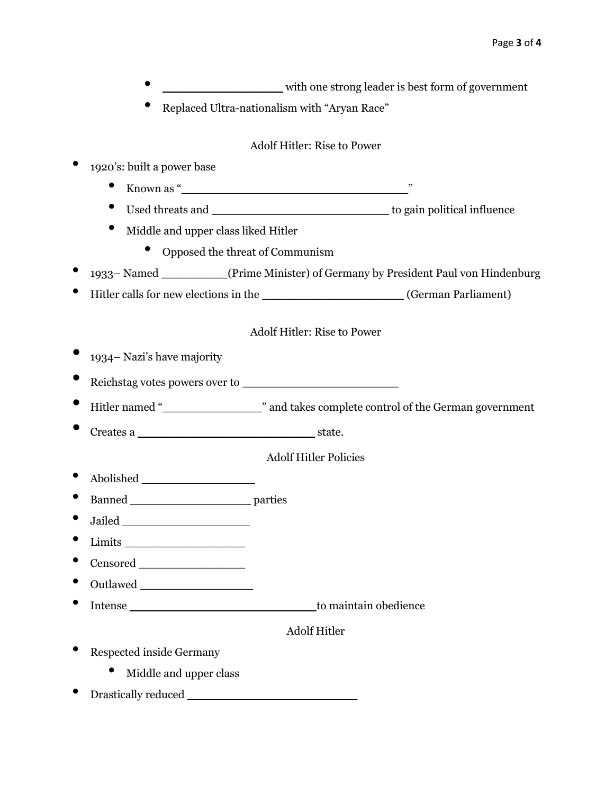- extending the strong leader is best form of government
	- Replaced Ultra-nationalism with "Aryan Race"

## Adolf Hitler: Rise to Power

- 1920's: built a power base
	- Known as " $\overline{\phantom{a}}$  as "
	- Used threats and \_\_\_\_\_\_\_\_\_\_\_\_\_\_\_\_\_\_\_\_\_\_\_\_\_ to gain political influence
	- Middle and upper class liked Hitler
		- Opposed the threat of Communism
- <sup>1933</sup> Named \_\_\_\_\_\_\_\_\_ (Prime Minister) of Germany by President Paul von Hindenburg
- Hitler calls for new elections in the \_\_\_\_\_\_\_\_\_\_\_\_\_\_\_\_\_\_\_\_ (German Parliament)

## Adolf Hitler: Rise to Power

- <sup>1934</sup> Nazi's have majority
- Reichstag votes powers over to
- Hitler named "\_\_\_\_\_\_\_\_\_\_\_\_\_\_" and takes complete control of the German government
- Creates a \_\_\_\_\_\_\_\_\_\_\_\_\_\_\_\_\_\_\_\_\_\_\_\_\_ state.

Adolf Hitler Policies

- Abolished \_\_\_\_\_\_\_\_\_\_\_\_\_\_\_\_
- Banned \_\_\_\_\_\_\_\_\_\_\_\_\_\_\_\_\_ parties
- Jailed \_\_\_\_\_\_\_\_\_\_\_\_\_\_\_\_\_\_
- Limits \_\_\_\_\_\_\_\_\_\_\_\_\_\_\_\_\_
- Censored \_\_\_\_\_\_\_\_\_\_\_\_\_\_\_
- Outlawed \_\_\_\_\_\_\_\_\_\_\_\_\_\_\_\_
- Intense **the contract of the contract of the contract of the contract of the contract of the contract of the contract of the contract of the contract of the contract of the contract of the contract of the contract of the c**

# Adolf Hitler

- Respected inside Germany
	- Middle and upper class
- Drastically reduced \_\_\_\_\_\_\_\_\_\_\_\_\_\_\_\_\_\_\_\_\_\_\_\_